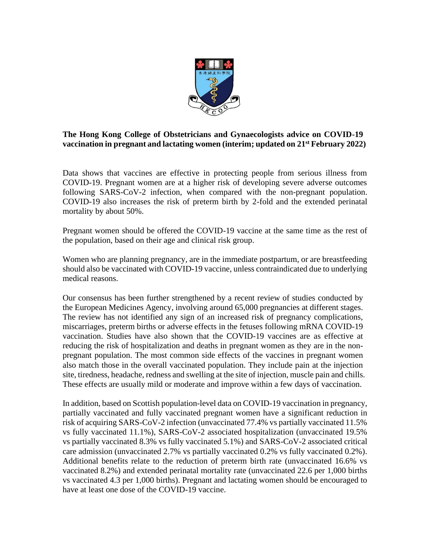

## **The Hong Kong College of Obstetricians and Gynaecologists advice on COVID-19 vaccination in pregnant and lactating women (interim; updated on 21st February 2022)**

Data shows that vaccines are effective in protecting people from serious illness from COVID-19. Pregnant women are at a higher risk of developing severe adverse outcomes following SARS-CoV-2 infection, when compared with the non-pregnant population. COVID-19 also increases the risk of preterm birth by 2-fold and the extended perinatal mortality by about 50%.

Pregnant women should be offered the COVID-19 vaccine at the same time as the rest of the population, based on their age and clinical risk group.

Women who are planning pregnancy, are in the immediate postpartum, or are breastfeeding should also be vaccinated with COVID-19 vaccine, unless contraindicated due to underlying medical reasons.

Our consensus has been further strengthened by a recent review of studies conducted by the European Medicines Agency, involving around 65,000 pregnancies at different stages. The review has not identified any sign of an increased risk of pregnancy complications, miscarriages, preterm births or adverse effects in the fetuses following mRNA COVID-19 vaccination. Studies have also shown that the COVID-19 vaccines are as effective at reducing the risk of hospitalization and deaths in pregnant women as they are in the nonpregnant population. The most common side effects of the vaccines in pregnant women also match those in the overall vaccinated population. They include pain at the injection site, tiredness, headache, redness and swelling at the site of injection, muscle pain and chills. These effects are usually mild or moderate and improve within a few days of vaccination.

In addition, based on Scottish population-level data on COVID-19 vaccination in pregnancy, partially vaccinated and fully vaccinated pregnant women have a significant reduction in risk of acquiring SARS-CoV-2 infection (unvaccinated 77.4% vs partially vaccinated 11.5% vs fully vaccinated 11.1%), SARS-CoV-2 associated hospitalization (unvaccinated 19.5% vs partially vaccinated 8.3% vs fully vaccinated 5.1%) and SARS-CoV-2 associated critical care admission (unvaccinated 2.7% vs partially vaccinated 0.2% vs fully vaccinated 0.2%). Additional benefits relate to the reduction of preterm birth rate (unvaccinated 16.6% vs vaccinated 8.2%) and extended perinatal mortality rate (unvaccinated 22.6 per 1,000 births vs vaccinated 4.3 per 1,000 births). Pregnant and lactating women should be encouraged to have at least one dose of the COVID-19 vaccine.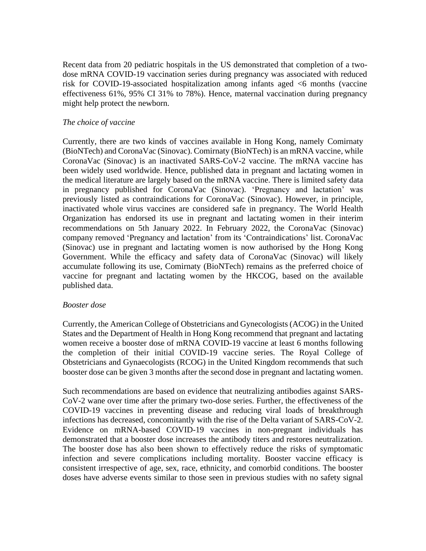Recent data from 20 pediatric hospitals in the US demonstrated that completion of a twodose mRNA COVID-19 vaccination series during pregnancy was associated with reduced risk for COVID-19-associated hospitalization among infants aged <6 months (vaccine effectiveness 61%, 95% CI 31% to 78%). Hence, maternal vaccination during pregnancy might help protect the newborn.

### *The choice of vaccine*

Currently, there are two kinds of vaccines available in Hong Kong, namely Comirnaty (BioNTech) and CoronaVac (Sinovac). Comirnaty (BioNTech) is an mRNA vaccine, while CoronaVac (Sinovac) is an inactivated SARS-CoV-2 vaccine. The mRNA vaccine has been widely used worldwide. Hence, published data in pregnant and lactating women in the medical literature are largely based on the mRNA vaccine. There is limited safety data in pregnancy published for CoronaVac (Sinovac). 'Pregnancy and lactation' was previously listed as contraindications for CoronaVac (Sinovac). However, in principle, inactivated whole virus vaccines are considered safe in pregnancy. The World Health Organization has endorsed its use in pregnant and lactating women in their interim recommendations on 5th January 2022. In February 2022, the CoronaVac (Sinovac) company removed 'Pregnancy and lactation' from its 'Contraindications' list. CoronaVac (Sinovac) use in pregnant and lactating women is now authorised by the Hong Kong Government. While the efficacy and safety data of CoronaVac (Sinovac) will likely accumulate following its use, Comirnaty (BioNTech) remains as the preferred choice of vaccine for pregnant and lactating women by the HKCOG, based on the available published data.

#### *Booster dose*

Currently, the American College of Obstetricians and Gynecologists (ACOG) in the United States and the Department of Health in Hong Kong recommend that pregnant and lactating women receive a booster dose of mRNA COVID-19 vaccine at least 6 months following the completion of their initial COVID-19 vaccine series. The Royal College of Obstetricians and Gynaecologists (RCOG) in the United Kingdom recommends that such booster dose can be given 3 months after the second dose in pregnant and lactating women.

Such recommendations are based on evidence that neutralizing antibodies against SARS-CoV-2 wane over time after the primary two-dose series. Further, the effectiveness of the COVID-19 vaccines in preventing disease and reducing viral loads of breakthrough infections has decreased, concomitantly with the rise of the Delta variant of SARS-CoV-2. Evidence on mRNA-based COVID-19 vaccines in non-pregnant individuals has demonstrated that a booster dose increases the antibody titers and restores neutralization. The booster dose has also been shown to effectively reduce the risks of symptomatic infection and severe complications including mortality. Booster vaccine efficacy is consistent irrespective of age, sex, race, ethnicity, and comorbid conditions. The booster doses have adverse events similar to those seen in previous studies with no safety signal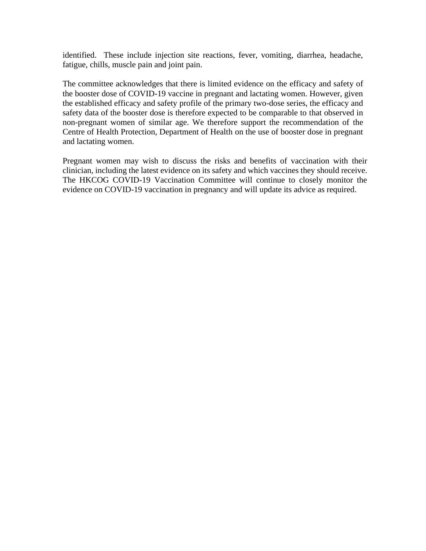identified. These include injection site reactions, fever, vomiting, diarrhea, headache, fatigue, chills, muscle pain and joint pain.

The committee acknowledges that there is limited evidence on the efficacy and safety of the booster dose of COVID-19 vaccine in pregnant and lactating women. However, given the established efficacy and safety profile of the primary two-dose series, the efficacy and safety data of the booster dose is therefore expected to be comparable to that observed in non-pregnant women of similar age. We therefore support the recommendation of the Centre of Health Protection, Department of Health on the use of booster dose in pregnant and lactating women.

Pregnant women may wish to discuss the risks and benefits of vaccination with their clinician, including the latest evidence on its safety and which vaccines they should receive. The HKCOG COVID-19 Vaccination Committee will continue to closely monitor the evidence on COVID-19 vaccination in pregnancy and will update its advice as required.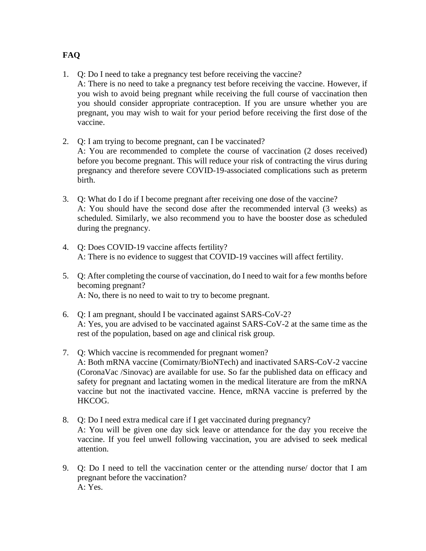- 1. Q: Do I need to take a pregnancy test before receiving the vaccine? A: There is no need to take a pregnancy test before receiving the vaccine. However, if you wish to avoid being pregnant while receiving the full course of vaccination then you should consider appropriate contraception. If you are unsure whether you are pregnant, you may wish to wait for your period before receiving the first dose of the vaccine.
- 2. Q: I am trying to become pregnant, can I be vaccinated? A: You are recommended to complete the course of vaccination (2 doses received) before you become pregnant. This will reduce your risk of contracting the virus during pregnancy and therefore severe COVID-19-associated complications such as preterm birth.
- 3. Q: What do I do if I become pregnant after receiving one dose of the vaccine? A: You should have the second dose after the recommended interval (3 weeks) as scheduled. Similarly, we also recommend you to have the booster dose as scheduled during the pregnancy.
- 4. Q: Does COVID-19 vaccine affects fertility? A: There is no evidence to suggest that COVID-19 vaccines will affect fertility.
- 5. Q: After completing the course of vaccination, do I need to wait for a few months before becoming pregnant? A: No, there is no need to wait to try to become pregnant.
- 6. Q: I am pregnant, should I be vaccinated against SARS-CoV-2? A: Yes, you are advised to be vaccinated against SARS-CoV-2 at the same time as the rest of the population, based on age and clinical risk group.
- 7. Q: Which vaccine is recommended for pregnant women? A: Both mRNA vaccine (Comirnaty/BioNTech) and inactivated SARS-CoV-2 vaccine (CoronaVac /Sinovac) are available for use. So far the published data on efficacy and safety for pregnant and lactating women in the medical literature are from the mRNA vaccine but not the inactivated vaccine. Hence, mRNA vaccine is preferred by the HKCOG.
- 8. Q: Do I need extra medical care if I get vaccinated during pregnancy? A: You will be given one day sick leave or attendance for the day you receive the vaccine. If you feel unwell following vaccination, you are advised to seek medical attention.
- 9. Q: Do I need to tell the vaccination center or the attending nurse/ doctor that I am pregnant before the vaccination? A: Yes.

# **FAQ**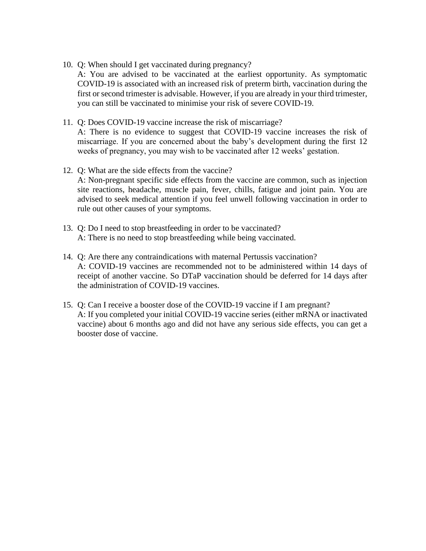10. Q: When should I get vaccinated during pregnancy?

A: You are advised to be vaccinated at the earliest opportunity. As symptomatic COVID-19 is associated with an increased risk of preterm birth, vaccination during the first or second trimester is advisable. However, if you are already in your third trimester, you can still be vaccinated to minimise your risk of severe COVID-19.

- 11. Q: Does COVID-19 vaccine increase the risk of miscarriage? A: There is no evidence to suggest that COVID-19 vaccine increases the risk of miscarriage. If you are concerned about the baby's development during the first 12 weeks of pregnancy, you may wish to be vaccinated after 12 weeks' gestation.
- 12. Q: What are the side effects from the vaccine? A: Non-pregnant specific side effects from the vaccine are common, such as injection site reactions, headache, muscle pain, fever, chills, fatigue and joint pain. You are advised to seek medical attention if you feel unwell following vaccination in order to rule out other causes of your symptoms.
- 13. Q: Do I need to stop breastfeeding in order to be vaccinated? A: There is no need to stop breastfeeding while being vaccinated.
- 14. Q: Are there any contraindications with maternal Pertussis vaccination? A: COVID-19 vaccines are recommended not to be administered within 14 days of receipt of another vaccine. So DTaP vaccination should be deferred for 14 days after the administration of COVID-19 vaccines.
- 15. Q: Can I receive a booster dose of the COVID-19 vaccine if I am pregnant? A: If you completed your initial COVID-19 vaccine series (either mRNA or inactivated vaccine) about 6 months ago and did not have any serious side effects, you can get a booster dose of vaccine.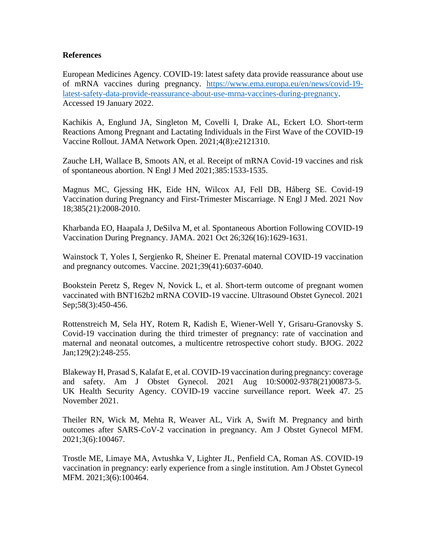#### **References**

European Medicines Agency. COVID-19: latest safety data provide reassurance about use of mRNA vaccines during pregnancy. [https://www.ema.europa.eu/en/news/covid-19](https://www.ema.europa.eu/en/news/covid-19-latest-safety-data-provide-reassurance-about-use-mrna-vaccines-during-pregnancy) [latest-safety-data-provide-reassurance-about-use-mrna-vaccines-during-pregnancy.](https://www.ema.europa.eu/en/news/covid-19-latest-safety-data-provide-reassurance-about-use-mrna-vaccines-during-pregnancy) Accessed 19 January 2022.

Kachikis A, Englund JA, Singleton M, Covelli I, Drake AL, Eckert LO. Short-term Reactions Among Pregnant and Lactating Individuals in the First Wave of the COVID-19 Vaccine Rollout. JAMA Network Open. 2021;4(8):e2121310.

Zauche LH, Wallace B, Smoots AN, et al. Receipt of mRNA Covid-19 vaccines and risk of spontaneous abortion. N Engl J Med 2021;385:1533-1535.

Magnus MC, Gjessing HK, Eide HN, Wilcox AJ, Fell DB, Håberg SE. Covid-19 Vaccination during Pregnancy and First-Trimester Miscarriage. N Engl J Med. 2021 Nov 18;385(21):2008-2010.

Kharbanda EO, Haapala J, DeSilva M, et al. Spontaneous Abortion Following COVID-19 Vaccination During Pregnancy. JAMA. 2021 Oct 26;326(16):1629-1631.

Wainstock T, Yoles I, Sergienko R, Sheiner E. Prenatal maternal COVID-19 vaccination and pregnancy outcomes. Vaccine. 2021;39(41):6037-6040.

Bookstein Peretz S, Regev N, Novick L, et al. Short-term outcome of pregnant women vaccinated with BNT162b2 mRNA COVID-19 vaccine. Ultrasound Obstet Gynecol. 2021 Sep; 58(3): 450-456.

Rottenstreich M, Sela HY, Rotem R, Kadish E, Wiener-Well Y, Grisaru-Granovsky S. Covid-19 vaccination during the third trimester of pregnancy: rate of vaccination and maternal and neonatal outcomes, a multicentre retrospective cohort study. BJOG. 2022 Jan;129(2):248-255.

Blakeway H, Prasad S, Kalafat E, et al. COVID-19 vaccination during pregnancy: coverage and safety. Am J Obstet Gynecol. 2021 Aug 10:S0002-9378(21)00873-5. UK Health Security Agency. COVID-19 vaccine surveillance report. Week 47. 25 November 2021.

Theiler RN, Wick M, Mehta R, Weaver AL, Virk A, Swift M. Pregnancy and birth outcomes after SARS-CoV-2 vaccination in pregnancy. Am J Obstet Gynecol MFM. 2021;3(6):100467.

Trostle ME, Limaye MA, Avtushka V, Lighter JL, Penfield CA, Roman AS. COVID-19 vaccination in pregnancy: early experience from a single institution. Am J Obstet Gynecol MFM. 2021;3(6):100464.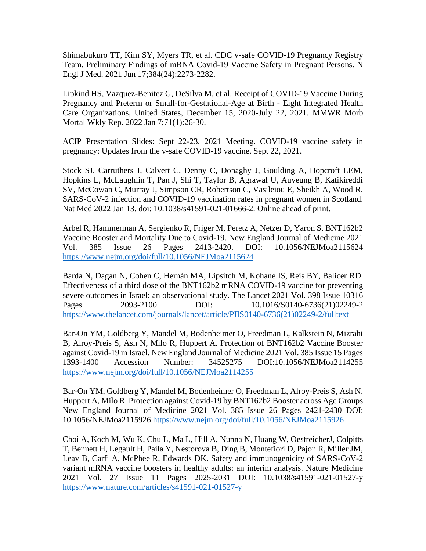Shimabukuro TT, Kim SY, Myers TR, et al. CDC v-safe COVID-19 Pregnancy Registry Team. Preliminary Findings of mRNA Covid-19 Vaccine Safety in Pregnant Persons. N Engl J Med. 2021 Jun 17;384(24):2273-2282.

Lipkind HS, Vazquez-Benitez G, DeSilva M, et al. Receipt of COVID-19 Vaccine During Pregnancy and Preterm or Small-for-Gestational-Age at Birth - Eight Integrated Health Care Organizations, United States, December 15, 2020-July 22, 2021. MMWR Morb Mortal Wkly Rep. 2022 Jan 7;71(1):26-30.

ACIP Presentation Slides: Sept 22-23, 2021 Meeting. COVID-19 vaccine safety in pregnancy: Updates from the v-safe COVID-19 vaccine. Sept 22, 2021.

Stock SJ, Carruthers J, Calvert C, Denny C, Donaghy J, Goulding A, Hopcroft LEM, Hopkins L, McLaughlin T, Pan J, Shi T, Taylor B, Agrawal U, Auyeung B, Katikireddi SV, McCowan C, Murray J, Simpson CR, Robertson C, Vasileiou E, Sheikh A, Wood R. SARS-CoV-2 infection and COVID-19 vaccination rates in pregnant women in Scotland. Nat Med 2022 Jan 13. doi: 10.1038/s41591-021-01666-2. Online ahead of print.

Arbel R, Hammerman A, Sergienko R, Friger M, Peretz A, Netzer D, Yaron S. BNT162b2 Vaccine Booster and Mortality Due to Covid-19. New England Journal of Medicine 2021 Vol. 385 Issue 26 Pages 2413-2420. DOI: 10.1056/NEJMoa2115624 <https://www.nejm.org/doi/full/10.1056/NEJMoa2115624>

Barda N, Dagan N, Cohen C, Hernán MA, Lipsitch M, Kohane IS, Reis BY, Balicer RD. Effectiveness of a third dose of the BNT162b2 mRNA COVID-19 vaccine for preventing severe outcomes in Israel: an observational study. The Lancet 2021 Vol. 398 Issue 10316 Pages 2093-2100 DOI: 10.1016/S0140-6736(21)02249-2 [https://www.thelancet.com/journals/lancet/article/PIIS0140-6736\(21\)02249-2/fulltext](https://www.thelancet.com/journals/lancet/article/PIIS0140-6736(21)02249-2/fulltext)

Bar-On YM, Goldberg Y, Mandel M, Bodenheimer O, Freedman L, Kalkstein N, Mizrahi B, Alroy-Preis S, Ash N, Milo R, Huppert A. Protection of BNT162b2 Vaccine Booster against Covid-19 in Israel. New England Journal of Medicine 2021 Vol. 385 Issue 15 Pages 1393-1400 Accession Number: 34525275 DOI:10.1056/NEJMoa2114255 <https://www.nejm.org/doi/full/10.1056/NEJMoa2114255>

Bar-On YM, Goldberg Y, Mandel M, Bodenheimer O, Freedman L, Alroy-Preis S, Ash N, Huppert A, Milo R. Protection against Covid-19 by BNT162b2 Booster across Age Groups. New England Journal of Medicine 2021 Vol. 385 Issue 26 Pages 2421-2430 DOI: 10.1056/NEJMoa2115926<https://www.nejm.org/doi/full/10.1056/NEJMoa2115926>

Choi A, Koch M, Wu K, Chu L, Ma L, Hill A, Nunna N, Huang W, OestreicherJ, Colpitts T, Bennett H, Legault H, Paila Y, Nestorova B, Ding B, Montefiori D, Pajon R, Miller JM, Leav B, Carfi A, McPhee R, Edwards DK. Safety and immunogenicity of SARS-CoV-2 variant mRNA vaccine boosters in healthy adults: an interim analysis. Nature Medicine 2021 Vol. 27 Issue 11 Pages 2025-2031 DOI: 10.1038/s41591-021-01527-y <https://www.nature.com/articles/s41591-021-01527-y>